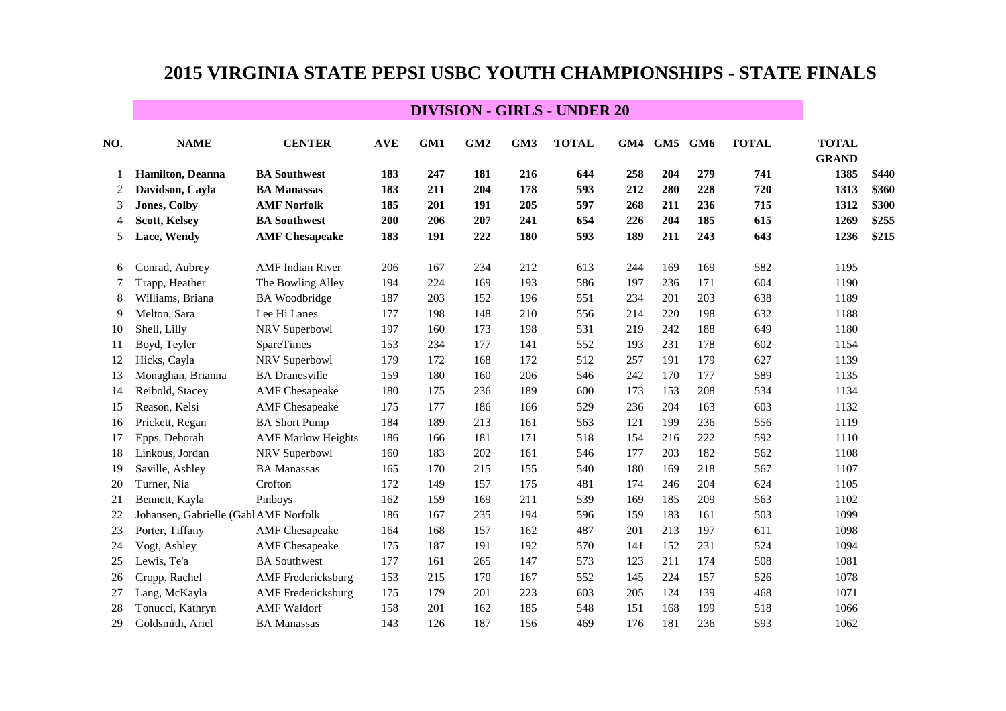| NO. | <b>NAME</b>                           | <b>CENTER</b>             | <b>AVE</b> | GM1 | GM <sub>2</sub> | GM3 | <b>TOTAL</b> | GM4 | GM5 GM6 |     | <b>TOTAL</b> | <b>TOTAL</b><br><b>GRAND</b> |       |
|-----|---------------------------------------|---------------------------|------------|-----|-----------------|-----|--------------|-----|---------|-----|--------------|------------------------------|-------|
| 1   | <b>Hamilton</b> , Deanna              | <b>BA Southwest</b>       | 183        | 247 | 181             | 216 | 644          | 258 | 204     | 279 | 741          | 1385                         | \$440 |
| 2   | Davidson, Cayla                       | <b>BA Manassas</b>        | 183        | 211 | 204             | 178 | 593          | 212 | 280     | 228 | 720          | 1313                         | \$360 |
| 3   | <b>Jones, Colby</b>                   | <b>AMF Norfolk</b>        | 185        | 201 | 191             | 205 | 597          | 268 | 211     | 236 | 715          | 1312                         | \$300 |
| 4   | <b>Scott, Kelsey</b>                  | <b>BA Southwest</b>       | 200        | 206 | 207             | 241 | 654          | 226 | 204     | 185 | 615          | 1269                         | \$255 |
| 5   | Lace, Wendy                           | <b>AMF</b> Chesapeake     | 183        | 191 | 222             | 180 | 593          | 189 | 211     | 243 | 643          | 1236                         | \$215 |
| 6   | Conrad, Aubrey                        | <b>AMF</b> Indian River   | 206        | 167 | 234             | 212 | 613          | 244 | 169     | 169 | 582          | 1195                         |       |
| 7   | Trapp, Heather                        | The Bowling Alley         | 194        | 224 | 169             | 193 | 586          | 197 | 236     | 171 | 604          | 1190                         |       |
| 8   | Williams, Briana                      | <b>BA</b> Woodbridge      | 187        | 203 | 152             | 196 | 551          | 234 | 201     | 203 | 638          | 1189                         |       |
| 9   | Melton, Sara                          | Lee Hi Lanes              | 177        | 198 | 148             | 210 | 556          | 214 | 220     | 198 | 632          | 1188                         |       |
| 10  | Shell, Lilly                          | NRV Superbowl             | 197        | 160 | 173             | 198 | 531          | 219 | 242     | 188 | 649          | 1180                         |       |
| 11  | Boyd, Teyler                          | <b>SpareTimes</b>         | 153        | 234 | 177             | 141 | 552          | 193 | 231     | 178 | 602          | 1154                         |       |
| 12  | Hicks, Cayla                          | NRV Superbowl             | 179        | 172 | 168             | 172 | 512          | 257 | 191     | 179 | 627          | 1139                         |       |
| 13  | Monaghan, Brianna                     | <b>BA</b> Dranesville     | 159        | 180 | 160             | 206 | 546          | 242 | 170     | 177 | 589          | 1135                         |       |
| 14  | Reibold, Stacey                       | <b>AMF</b> Chesapeake     | 180        | 175 | 236             | 189 | 600          | 173 | 153     | 208 | 534          | 1134                         |       |
| 15  | Reason, Kelsi                         | <b>AMF</b> Chesapeake     | 175        | 177 | 186             | 166 | 529          | 236 | 204     | 163 | 603          | 1132                         |       |
| 16  | Prickett, Regan                       | <b>BA Short Pump</b>      | 184        | 189 | 213             | 161 | 563          | 121 | 199     | 236 | 556          | 1119                         |       |
| 17  | Epps, Deborah                         | <b>AMF Marlow Heights</b> | 186        | 166 | 181             | 171 | 518          | 154 | 216     | 222 | 592          | 1110                         |       |
| 18  | Linkous, Jordan                       | NRV Superbowl             | 160        | 183 | 202             | 161 | 546          | 177 | 203     | 182 | 562          | 1108                         |       |
| 19  | Saville, Ashley                       | <b>BA Manassas</b>        | 165        | 170 | 215             | 155 | 540          | 180 | 169     | 218 | 567          | 1107                         |       |
| 20  | Turner, Nia                           | Crofton                   | 172        | 149 | 157             | 175 | 481          | 174 | 246     | 204 | 624          | 1105                         |       |
| 21  | Bennett, Kayla                        | Pinboys                   | 162        | 159 | 169             | 211 | 539          | 169 | 185     | 209 | 563          | 1102                         |       |
| 22  | Johansen, Gabrielle (Gabl AMF Norfolk |                           | 186        | 167 | 235             | 194 | 596          | 159 | 183     | 161 | 503          | 1099                         |       |
| 23  | Porter, Tiffany                       | <b>AMF</b> Chesapeake     | 164        | 168 | 157             | 162 | 487          | 201 | 213     | 197 | 611          | 1098                         |       |
| 24  | Vogt, Ashley                          | <b>AMF</b> Chesapeake     | 175        | 187 | 191             | 192 | 570          | 141 | 152     | 231 | 524          | 1094                         |       |
| 25  | Lewis, Te'a                           | <b>BA</b> Southwest       | 177        | 161 | 265             | 147 | 573          | 123 | 211     | 174 | 508          | 1081                         |       |
| 26  | Cropp, Rachel                         | <b>AMF</b> Fredericksburg | 153        | 215 | 170             | 167 | 552          | 145 | 224     | 157 | 526          | 1078                         |       |
| 27  | Lang, McKayla                         | <b>AMF</b> Fredericksburg | 175        | 179 | 201             | 223 | 603          | 205 | 124     | 139 | 468          | 1071                         |       |
| 28  | Tonucci, Kathryn                      | <b>AMF</b> Waldorf        | 158        | 201 | 162             | 185 | 548          | 151 | 168     | 199 | 518          | 1066                         |       |
| 29  | Goldsmith, Ariel                      | <b>BA Manassas</b>        | 143        | 126 | 187             | 156 | 469          | 176 | 181     | 236 | 593          | 1062                         |       |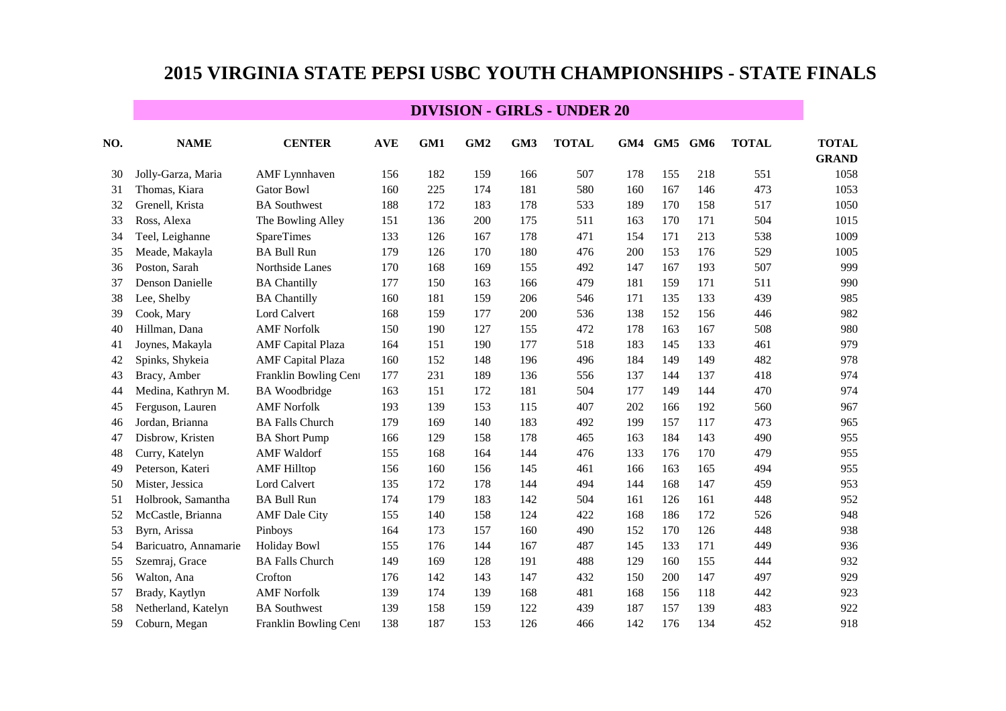| NO. | <b>NAME</b>           | <b>CENTER</b>            | <b>AVE</b> | GM1 | GM <sub>2</sub> | GM3 | <b>TOTAL</b> |     | GM4 GM5 GM6 |     | <b>TOTAL</b> | <b>TOTAL</b><br><b>GRAND</b> |
|-----|-----------------------|--------------------------|------------|-----|-----------------|-----|--------------|-----|-------------|-----|--------------|------------------------------|
| 30  | Jolly-Garza, Maria    | <b>AMF</b> Lynnhaven     | 156        | 182 | 159             | 166 | 507          | 178 | 155         | 218 | 551          | 1058                         |
| 31  | Thomas, Kiara         | <b>Gator Bowl</b>        | 160        | 225 | 174             | 181 | 580          | 160 | 167         | 146 | 473          | 1053                         |
| 32  | Grenell, Krista       | <b>BA</b> Southwest      | 188        | 172 | 183             | 178 | 533          | 189 | 170         | 158 | 517          | 1050                         |
| 33  | Ross, Alexa           | The Bowling Alley        | 151        | 136 | 200             | 175 | 511          | 163 | 170         | 171 | 504          | 1015                         |
| 34  | Teel, Leighanne       | SpareTimes               | 133        | 126 | 167             | 178 | 471          | 154 | 171         | 213 | 538          | 1009                         |
| 35  | Meade, Makayla        | <b>BA Bull Run</b>       | 179        | 126 | 170             | 180 | 476          | 200 | 153         | 176 | 529          | 1005                         |
| 36  | Poston, Sarah         | Northside Lanes          | 170        | 168 | 169             | 155 | 492          | 147 | 167         | 193 | 507          | 999                          |
| 37  | Denson Danielle       | <b>BA Chantilly</b>      | 177        | 150 | 163             | 166 | 479          | 181 | 159         | 171 | 511          | 990                          |
| 38  | Lee, Shelby           | <b>BA Chantilly</b>      | 160        | 181 | 159             | 206 | 546          | 171 | 135         | 133 | 439          | 985                          |
| 39  | Cook, Mary            | Lord Calvert             | 168        | 159 | 177             | 200 | 536          | 138 | 152         | 156 | 446          | 982                          |
| 40  | Hillman, Dana         | <b>AMF Norfolk</b>       | 150        | 190 | 127             | 155 | 472          | 178 | 163         | 167 | 508          | 980                          |
| 41  | Joynes, Makayla       | <b>AMF</b> Capital Plaza | 164        | 151 | 190             | 177 | 518          | 183 | 145         | 133 | 461          | 979                          |
| 42  | Spinks, Shykeia       | <b>AMF</b> Capital Plaza | 160        | 152 | 148             | 196 | 496          | 184 | 149         | 149 | 482          | 978                          |
| 43  | Bracy, Amber          | Franklin Bowling Cent    | 177        | 231 | 189             | 136 | 556          | 137 | 144         | 137 | 418          | 974                          |
| 44  | Medina, Kathryn M.    | <b>BA</b> Woodbridge     | 163        | 151 | 172             | 181 | 504          | 177 | 149         | 144 | 470          | 974                          |
| 45  | Ferguson, Lauren      | <b>AMF</b> Norfolk       | 193        | 139 | 153             | 115 | 407          | 202 | 166         | 192 | 560          | 967                          |
| 46  | Jordan, Brianna       | <b>BA Falls Church</b>   | 179        | 169 | 140             | 183 | 492          | 199 | 157         | 117 | 473          | 965                          |
| 47  | Disbrow, Kristen      | <b>BA Short Pump</b>     | 166        | 129 | 158             | 178 | 465          | 163 | 184         | 143 | 490          | 955                          |
| 48  | Curry, Katelyn        | <b>AMF</b> Waldorf       | 155        | 168 | 164             | 144 | 476          | 133 | 176         | 170 | 479          | 955                          |
| 49  | Peterson, Kateri      | <b>AMF Hilltop</b>       | 156        | 160 | 156             | 145 | 461          | 166 | 163         | 165 | 494          | 955                          |
| 50  | Mister, Jessica       | <b>Lord Calvert</b>      | 135        | 172 | 178             | 144 | 494          | 144 | 168         | 147 | 459          | 953                          |
| 51  | Holbrook, Samantha    | <b>BA Bull Run</b>       | 174        | 179 | 183             | 142 | 504          | 161 | 126         | 161 | 448          | 952                          |
| 52  | McCastle, Brianna     | <b>AMF</b> Dale City     | 155        | 140 | 158             | 124 | 422          | 168 | 186         | 172 | 526          | 948                          |
| 53  | Byrn, Arissa          | Pinboys                  | 164        | 173 | 157             | 160 | 490          | 152 | 170         | 126 | 448          | 938                          |
| 54  | Baricuatro, Annamarie | <b>Holiday Bowl</b>      | 155        | 176 | 144             | 167 | 487          | 145 | 133         | 171 | 449          | 936                          |
| 55  | Szemraj, Grace        | <b>BA Falls Church</b>   | 149        | 169 | 128             | 191 | 488          | 129 | 160         | 155 | 444          | 932                          |
| 56  | Walton, Ana           | Crofton                  | 176        | 142 | 143             | 147 | 432          | 150 | 200         | 147 | 497          | 929                          |
| 57  | Brady, Kaytlyn        | <b>AMF</b> Norfolk       | 139        | 174 | 139             | 168 | 481          | 168 | 156         | 118 | 442          | 923                          |
| 58  | Netherland, Katelyn   | <b>BA Southwest</b>      | 139        | 158 | 159             | 122 | 439          | 187 | 157         | 139 | 483          | 922                          |
| 59  | Coburn, Megan         | Franklin Bowling Cent    | 138        | 187 | 153             | 126 | 466          | 142 | 176         | 134 | 452          | 918                          |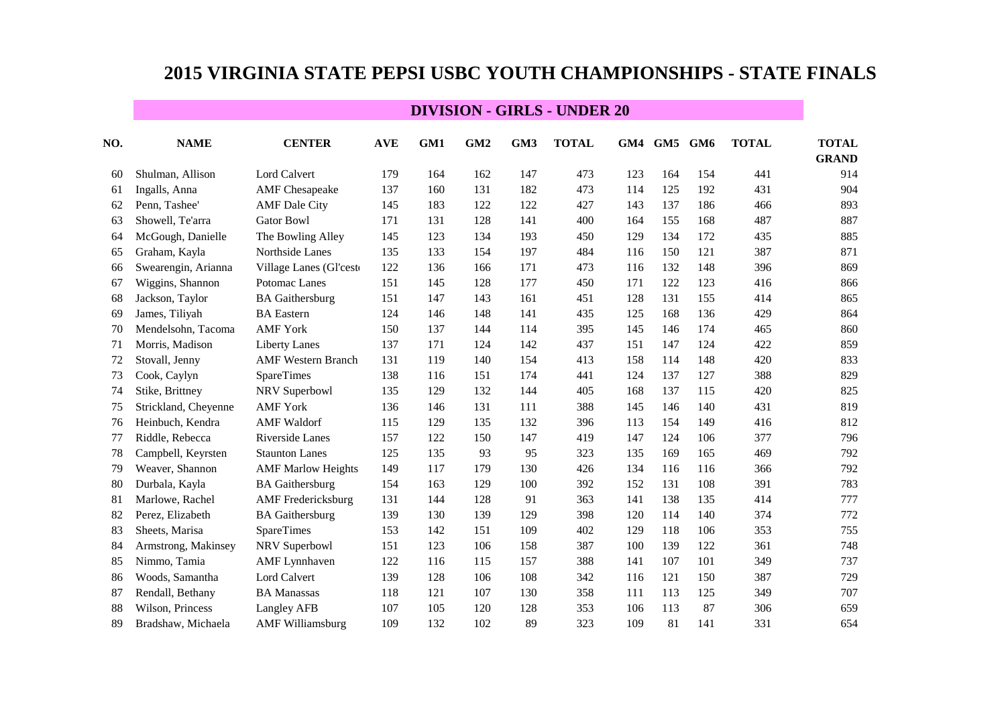| NO. | <b>NAME</b>          | <b>CENTER</b>             | <b>AVE</b> | GM1 | GM <sub>2</sub> | GM3 | <b>TOTAL</b> |     | GM4 GM5 GM6 |     | <b>TOTAL</b> | <b>TOTAL</b><br><b>GRAND</b> |
|-----|----------------------|---------------------------|------------|-----|-----------------|-----|--------------|-----|-------------|-----|--------------|------------------------------|
| 60  | Shulman, Allison     | <b>Lord Calvert</b>       | 179        | 164 | 162             | 147 | 473          | 123 | 164         | 154 | 441          | 914                          |
| 61  | Ingalls, Anna        | <b>AMF</b> Chesapeake     | 137        | 160 | 131             | 182 | 473          | 114 | 125         | 192 | 431          | 904                          |
| 62  | Penn, Tashee'        | <b>AMF</b> Dale City      | 145        | 183 | 122             | 122 | 427          | 143 | 137         | 186 | 466          | 893                          |
| 63  | Showell, Te'arra     | <b>Gator Bowl</b>         | 171        | 131 | 128             | 141 | 400          | 164 | 155         | 168 | 487          | 887                          |
| 64  | McGough, Danielle    | The Bowling Alley         | 145        | 123 | 134             | 193 | 450          | 129 | 134         | 172 | 435          | 885                          |
| 65  | Graham, Kayla        | Northside Lanes           | 135        | 133 | 154             | 197 | 484          | 116 | 150         | 121 | 387          | 871                          |
| 66  | Swearengin, Arianna  | Village Lanes (Gl'cest    | 122        | 136 | 166             | 171 | 473          | 116 | 132         | 148 | 396          | 869                          |
| 67  | Wiggins, Shannon     | Potomac Lanes             | 151        | 145 | 128             | 177 | 450          | 171 | 122         | 123 | 416          | 866                          |
| 68  | Jackson, Taylor      | <b>BA</b> Gaithersburg    | 151        | 147 | 143             | 161 | 451          | 128 | 131         | 155 | 414          | 865                          |
| 69  | James, Tiliyah       | <b>BA</b> Eastern         | 124        | 146 | 148             | 141 | 435          | 125 | 168         | 136 | 429          | 864                          |
| 70  | Mendelsohn, Tacoma   | <b>AMF York</b>           | 150        | 137 | 144             | 114 | 395          | 145 | 146         | 174 | 465          | 860                          |
| 71  | Morris, Madison      | <b>Liberty Lanes</b>      | 137        | 171 | 124             | 142 | 437          | 151 | 147         | 124 | 422          | 859                          |
| 72  | Stovall, Jenny       | <b>AMF Western Branch</b> | 131        | 119 | 140             | 154 | 413          | 158 | 114         | 148 | 420          | 833                          |
| 73  | Cook, Caylyn         | SpareTimes                | 138        | 116 | 151             | 174 | 441          | 124 | 137         | 127 | 388          | 829                          |
| 74  | Stike, Brittney      | NRV Superbowl             | 135        | 129 | 132             | 144 | 405          | 168 | 137         | 115 | 420          | 825                          |
| 75  | Strickland, Cheyenne | <b>AMF York</b>           | 136        | 146 | 131             | 111 | 388          | 145 | 146         | 140 | 431          | 819                          |
| 76  | Heinbuch, Kendra     | <b>AMF</b> Waldorf        | 115        | 129 | 135             | 132 | 396          | 113 | 154         | 149 | 416          | 812                          |
| 77  | Riddle, Rebecca      | Riverside Lanes           | 157        | 122 | 150             | 147 | 419          | 147 | 124         | 106 | 377          | 796                          |
| 78  | Campbell, Keyrsten   | <b>Staunton Lanes</b>     | 125        | 135 | 93              | 95  | 323          | 135 | 169         | 165 | 469          | 792                          |
| 79  | Weaver, Shannon      | <b>AMF Marlow Heights</b> | 149        | 117 | 179             | 130 | 426          | 134 | 116         | 116 | 366          | 792                          |
| 80  | Durbala, Kayla       | <b>BA</b> Gaithersburg    | 154        | 163 | 129             | 100 | 392          | 152 | 131         | 108 | 391          | 783                          |
| 81  | Marlowe, Rachel      | <b>AMF</b> Fredericksburg | 131        | 144 | 128             | 91  | 363          | 141 | 138         | 135 | 414          | 777                          |
| 82  | Perez, Elizabeth     | <b>BA</b> Gaithersburg    | 139        | 130 | 139             | 129 | 398          | 120 | 114         | 140 | 374          | 772                          |
| 83  | Sheets, Marisa       | <b>SpareTimes</b>         | 153        | 142 | 151             | 109 | 402          | 129 | 118         | 106 | 353          | 755                          |
| 84  | Armstrong, Makinsey  | NRV Superbowl             | 151        | 123 | 106             | 158 | 387          | 100 | 139         | 122 | 361          | 748                          |
| 85  | Nimmo, Tamia         | <b>AMF</b> Lynnhaven      | 122        | 116 | 115             | 157 | 388          | 141 | 107         | 101 | 349          | 737                          |
| 86  | Woods, Samantha      | Lord Calvert              | 139        | 128 | 106             | 108 | 342          | 116 | 121         | 150 | 387          | 729                          |
| 87  | Rendall, Bethany     | <b>BA Manassas</b>        | 118        | 121 | 107             | 130 | 358          | 111 | 113         | 125 | 349          | 707                          |
| 88  | Wilson, Princess     | Langley AFB               | 107        | 105 | 120             | 128 | 353          | 106 | 113         | 87  | 306          | 659                          |
| 89  | Bradshaw, Michaela   | <b>AMF</b> Williamsburg   | 109        | 132 | 102             | 89  | 323          | 109 | 81          | 141 | 331          | 654                          |